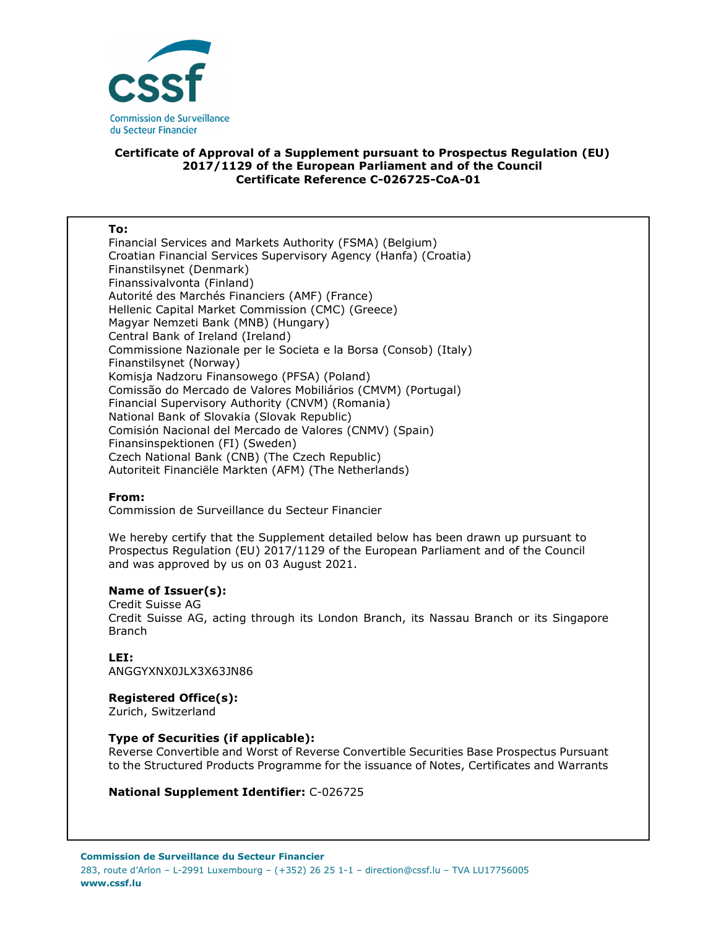

## **Certificate of Approval of a Supplement pursuant to Prospectus Regulation (EU) 2017/1129 of the European Parliament and of the Council Certificate Reference C-026725-CoA-01**

#### **To:**

Financial Services and Markets Authority (FSMA) (Belgium) Croatian Financial Services Supervisory Agency (Hanfa) (Croatia) Finanstilsynet (Denmark) Finanssivalvonta (Finland) Autorité des Marchés Financiers (AMF) (France) Hellenic Capital Market Commission (CMC) (Greece) Magyar Nemzeti Bank (MNB) (Hungary) Central Bank of Ireland (Ireland) Commissione Nazionale per le Societa e la Borsa (Consob) (Italy) Finanstilsynet (Norway) Komisja Nadzoru Finansowego (PFSA) (Poland) Comissão do Mercado de Valores Mobiliários (CMVM) (Portugal) Financial Supervisory Authority (CNVM) (Romania) National Bank of Slovakia (Slovak Republic) Comisión Nacional del Mercado de Valores (CNMV) (Spain) Finansinspektionen (FI) (Sweden) Czech National Bank (CNB) (The Czech Republic) Autoriteit Financiële Markten (AFM) (The Netherlands)

### **From:**

Commission de Surveillance du Secteur Financier

We hereby certify that the Supplement detailed below has been drawn up pursuant to Prospectus Regulation (EU) 2017/1129 of the European Parliament and of the Council and was approved by us on 03 August 2021.

### **Name of Issuer(s):**

Credit Suisse AG Credit Suisse AG, acting through its London Branch, its Nassau Branch or its Singapore Branch

## **LEI:**

ANGGYXNX0JLX3X63JN86

# **Registered Office(s):**

Zurich, Switzerland

### **Type of Securities (if applicable):**

Reverse Convertible and Worst of Reverse Convertible Securities Base Prospectus Pursuant to the Structured Products Programme for the issuance of Notes, Certificates and Warrants

### **National Supplement Identifier:** C-026725